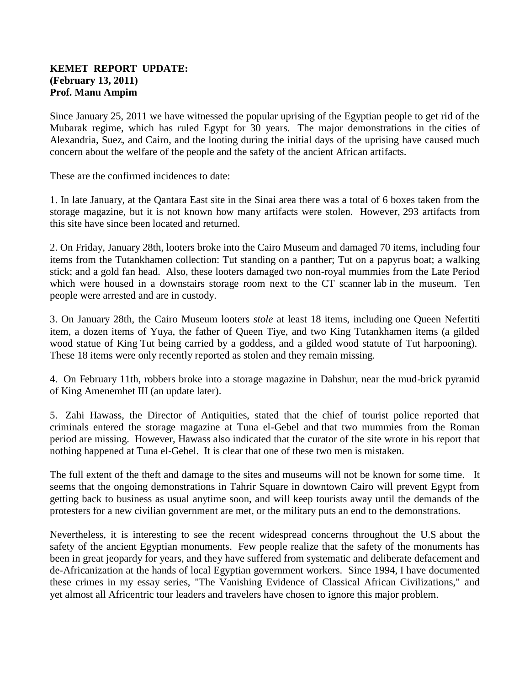## **KEMET REPORT UPDATE: (February 13, 2011) Prof. Manu Ampim**

Since January 25, 2011 we have witnessed the popular uprising of the Egyptian people to get rid of the Mubarak regime, which has ruled Egypt for 30 years. The major demonstrations in the cities of Alexandria, Suez, and Cairo, and the looting during the initial days of the uprising have caused much concern about the welfare of the people and the safety of the ancient African artifacts.

These are the confirmed incidences to date:

1. In late January, at the Qantara East site in the Sinai area there was a total of 6 boxes taken from the storage magazine, but it is not known how many artifacts were stolen. However, 293 artifacts from this site have since been located and returned.

2. On Friday, January 28th, looters broke into the Cairo Museum and damaged 70 items, including four items from the Tutankhamen collection: Tut standing on a panther; Tut on a papyrus boat; a walking stick; and a gold fan head. Also, these looters damaged two non-royal mummies from the Late Period which were housed in a downstairs storage room next to the CT scanner lab in the museum. Ten people were arrested and are in custody.

3. On January 28th, the Cairo Museum looters *stole* at least 18 items, including one Queen Nefertiti item, a dozen items of Yuya, the father of Queen Tiye, and two King Tutankhamen items (a gilded wood statue of King Tut being carried by a goddess, and a gilded wood statute of Tut harpooning). These 18 items were only recently reported as stolen and they remain missing.

4. On February 11th, robbers broke into a storage magazine in Dahshur, near the mud-brick pyramid of King Amenemhet III (an update later).

5. Zahi Hawass, the Director of Antiquities, stated that the chief of tourist police reported that criminals entered the storage magazine at Tuna el-Gebel and that two mummies from the Roman period are missing. However, Hawass also indicated that the curator of the site wrote in his report that nothing happened at Tuna el-Gebel. It is clear that one of these two men is mistaken.

The full extent of the theft and damage to the sites and museums will not be known for some time. It seems that the ongoing demonstrations in Tahrir Square in downtown Cairo will prevent Egypt from getting back to business as usual anytime soon, and will keep tourists away until the demands of the protesters for a new civilian government are met, or the military puts an end to the demonstrations.

Nevertheless, it is interesting to see the recent widespread concerns throughout the U.S about the safety of the ancient Egyptian monuments. Few people realize that the safety of the monuments has been in great jeopardy for years, and they have suffered from systematic and deliberate defacement and de-Africanization at the hands of local Egyptian government workers. Since 1994, I have documented these crimes in my essay series, "The Vanishing Evidence of Classical African Civilizations," and yet almost all Africentric tour leaders and travelers have chosen to ignore this major problem.